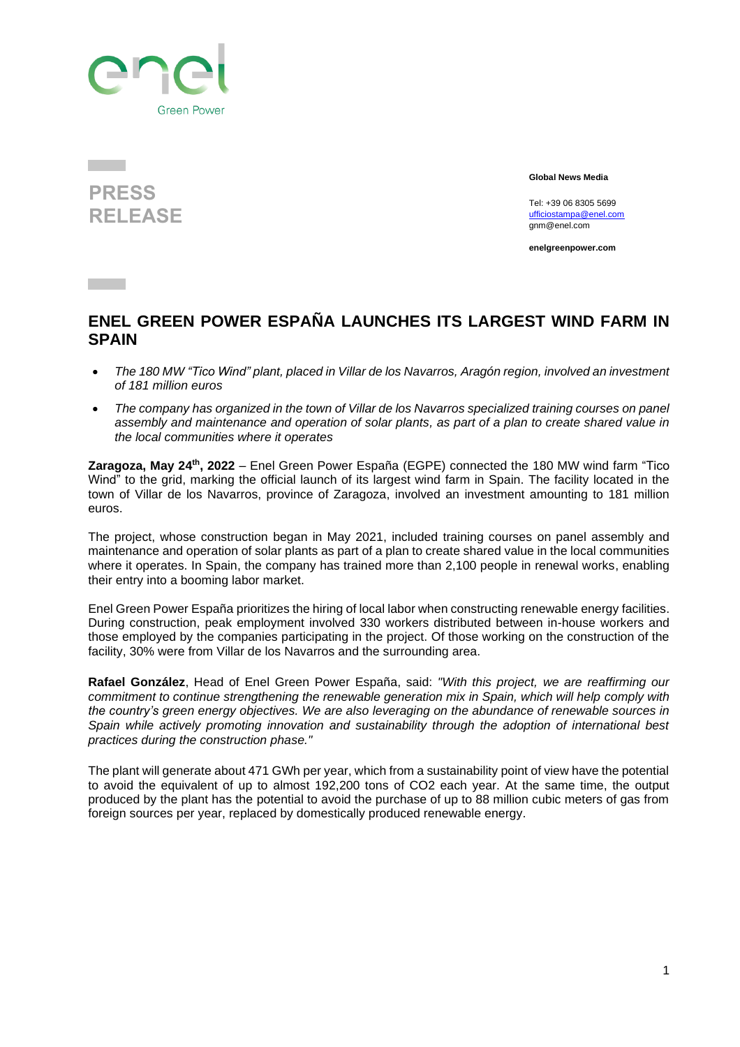

## **PRESS RELEASE**

**Global News Media**

Tel: +39 06 8305 5699 [ufficiostampa@enel.com](mailto:ufficiostampa@enel.com) gnm@enel.com

**enelgreenpower.com**

## **ENEL GREEN POWER ESPAÑA LAUNCHES ITS LARGEST WIND FARM IN SPAIN**

- *The 180 MW "Tico Wind" plant, placed in Villar de los Navarros, Aragón region, involved an investment of 181 million euros*
- *The company has organized in the town of Villar de los Navarros specialized training courses on panel assembly and maintenance and operation of solar plants, as part of a plan to create shared value in the local communities where it operates*

**Zaragoza, May 24<sup>th</sup>, 2022** – Enel Green Power España (EGPE) connected the 180 MW wind farm "Tico Wind" to the grid, marking the official launch of its largest wind farm in Spain. The facility located in the town of Villar de los Navarros, province of Zaragoza, involved an investment amounting to 181 million euros.

The project, whose construction began in May 2021, included training courses on panel assembly and maintenance and operation of solar plants as part of a plan to create shared value in the local communities where it operates. In Spain, the company has trained more than 2,100 people in renewal works, enabling their entry into a booming labor market.

Enel Green Power España prioritizes the hiring of local labor when constructing renewable energy facilities. During construction, peak employment involved 330 workers distributed between in-house workers and those employed by the companies participating in the project. Of those working on the construction of the facility, 30% were from Villar de los Navarros and the surrounding area.

**Rafael González**, Head of Enel Green Power España, said: *"With this project, we are reaffirming our commitment to continue strengthening the renewable generation mix in Spain, which will help comply with the country's green energy objectives. We are also leveraging on the abundance of renewable sources in Spain while actively promoting innovation and sustainability through the adoption of international best practices during the construction phase."*

The plant will generate about 471 GWh per year, which from a sustainability point of view have the potential to avoid the equivalent of up to almost 192,200 tons of CO2 each year. At the same time, the output produced by the plant has the potential to avoid the purchase of up to 88 million cubic meters of gas from foreign sources per year, replaced by domestically produced renewable energy.